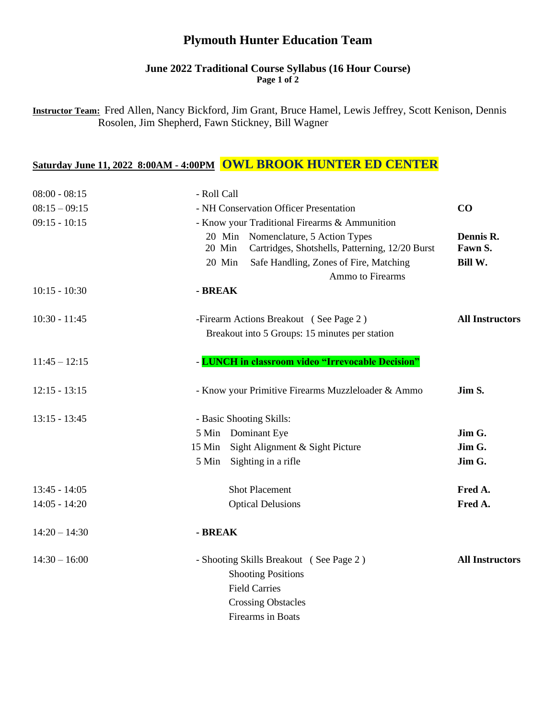## **Plymouth Hunter Education Team**

#### **June 2022 Traditional Course Syllabus (16 Hour Course) Page 1 of 2**

**Instructor Team:** Fred Allen, Nancy Bickford, Jim Grant, Bruce Hamel, Lewis Jeffrey, Scott Kenison, Dennis Rosolen, Jim Shepherd, Fawn Stickney, Bill Wagner

# **Saturday June 11, 2022 8:00AM - 4:00PM OWL BROOK HUNTER ED CENTER**

| $08:00 - 08:15$ | - Roll Call                                                                                      |                        |
|-----------------|--------------------------------------------------------------------------------------------------|------------------------|
| $08:15 - 09:15$ | - NH Conservation Officer Presentation                                                           | CO                     |
| $09:15 - 10:15$ | - Know your Traditional Firearms & Ammunition                                                    |                        |
|                 | 20 Min Nomenclature, 5 Action Types<br>Cartridges, Shotshells, Patterning, 12/20 Burst<br>20 Min | Dennis R.<br>Fawn S.   |
|                 | 20 Min<br>Safe Handling, Zones of Fire, Matching<br>Ammo to Firearms                             | Bill W.                |
| $10:15 - 10:30$ | - BREAK                                                                                          |                        |
| $10:30 - 11:45$ | -Firearm Actions Breakout (See Page 2)                                                           | <b>All Instructors</b> |
|                 | Breakout into 5 Groups: 15 minutes per station                                                   |                        |
| $11:45 - 12:15$ | - LUNCH in classroom video "Irrevocable Decision"                                                |                        |
| $12:15 - 13:15$ | - Know your Primitive Firearms Muzzleloader & Ammo                                               | Jim S.                 |
| $13:15 - 13:45$ | - Basic Shooting Skills:                                                                         |                        |
|                 | 5 Min Dominant Eye                                                                               | Jim G.                 |
|                 | Sight Alignment & Sight Picture<br>$15$ Min                                                      | Jim G.                 |
|                 | 5 Min Sighting in a rifle                                                                        | Jim G.                 |
| $13:45 - 14:05$ | <b>Shot Placement</b>                                                                            | Fred A.                |
| $14:05 - 14:20$ | <b>Optical Delusions</b>                                                                         | Fred A.                |
| $14:20 - 14:30$ | - BREAK                                                                                          |                        |
| $14:30 - 16:00$ | - Shooting Skills Breakout (See Page 2)                                                          | <b>All Instructors</b> |
|                 | <b>Shooting Positions</b>                                                                        |                        |
|                 | <b>Field Carries</b>                                                                             |                        |
|                 | <b>Crossing Obstacles</b>                                                                        |                        |
|                 | Firearms in Boats                                                                                |                        |